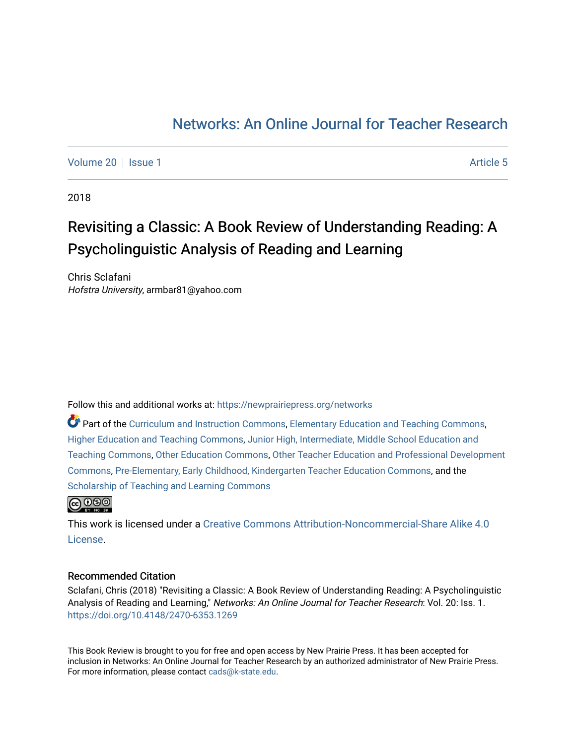# [Networks: An Online Journal for Teacher Research](https://newprairiepress.org/networks)

[Volume 20](https://newprairiepress.org/networks/vol20) | [Issue 1](https://newprairiepress.org/networks/vol20/iss1) Article 5

2018

# Revisiting a Classic: A Book Review of Understanding Reading: A Psycholinguistic Analysis of Reading and Learning

Chris Sclafani Hofstra University, armbar81@yahoo.com

Follow this and additional works at: [https://newprairiepress.org/networks](https://newprairiepress.org/networks?utm_source=newprairiepress.org%2Fnetworks%2Fvol20%2Fiss1%2F5&utm_medium=PDF&utm_campaign=PDFCoverPages)

Part of the [Curriculum and Instruction Commons,](http://network.bepress.com/hgg/discipline/786?utm_source=newprairiepress.org%2Fnetworks%2Fvol20%2Fiss1%2F5&utm_medium=PDF&utm_campaign=PDFCoverPages) [Elementary Education and Teaching Commons,](http://network.bepress.com/hgg/discipline/805?utm_source=newprairiepress.org%2Fnetworks%2Fvol20%2Fiss1%2F5&utm_medium=PDF&utm_campaign=PDFCoverPages) [Higher Education and Teaching Commons,](http://network.bepress.com/hgg/discipline/806?utm_source=newprairiepress.org%2Fnetworks%2Fvol20%2Fiss1%2F5&utm_medium=PDF&utm_campaign=PDFCoverPages) [Junior High, Intermediate, Middle School Education and](http://network.bepress.com/hgg/discipline/807?utm_source=newprairiepress.org%2Fnetworks%2Fvol20%2Fiss1%2F5&utm_medium=PDF&utm_campaign=PDFCoverPages)  [Teaching Commons](http://network.bepress.com/hgg/discipline/807?utm_source=newprairiepress.org%2Fnetworks%2Fvol20%2Fiss1%2F5&utm_medium=PDF&utm_campaign=PDFCoverPages), [Other Education Commons](http://network.bepress.com/hgg/discipline/811?utm_source=newprairiepress.org%2Fnetworks%2Fvol20%2Fiss1%2F5&utm_medium=PDF&utm_campaign=PDFCoverPages), [Other Teacher Education and Professional Development](http://network.bepress.com/hgg/discipline/810?utm_source=newprairiepress.org%2Fnetworks%2Fvol20%2Fiss1%2F5&utm_medium=PDF&utm_campaign=PDFCoverPages) [Commons](http://network.bepress.com/hgg/discipline/810?utm_source=newprairiepress.org%2Fnetworks%2Fvol20%2Fiss1%2F5&utm_medium=PDF&utm_campaign=PDFCoverPages), [Pre-Elementary, Early Childhood, Kindergarten Teacher Education Commons](http://network.bepress.com/hgg/discipline/808?utm_source=newprairiepress.org%2Fnetworks%2Fvol20%2Fiss1%2F5&utm_medium=PDF&utm_campaign=PDFCoverPages), and the [Scholarship of Teaching and Learning Commons](http://network.bepress.com/hgg/discipline/1328?utm_source=newprairiepress.org%2Fnetworks%2Fvol20%2Fiss1%2F5&utm_medium=PDF&utm_campaign=PDFCoverPages) 



This work is licensed under a [Creative Commons Attribution-Noncommercial-Share Alike 4.0](https://creativecommons.org/licenses/by-nc-sa/4.0/) [License.](https://creativecommons.org/licenses/by-nc-sa/4.0/)

#### Recommended Citation

Sclafani, Chris (2018) "Revisiting a Classic: A Book Review of Understanding Reading: A Psycholinguistic Analysis of Reading and Learning," Networks: An Online Journal for Teacher Research: Vol. 20: Iss. 1. <https://doi.org/10.4148/2470-6353.1269>

This Book Review is brought to you for free and open access by New Prairie Press. It has been accepted for inclusion in Networks: An Online Journal for Teacher Research by an authorized administrator of New Prairie Press. For more information, please contact [cads@k-state.edu.](mailto:cads@k-state.edu)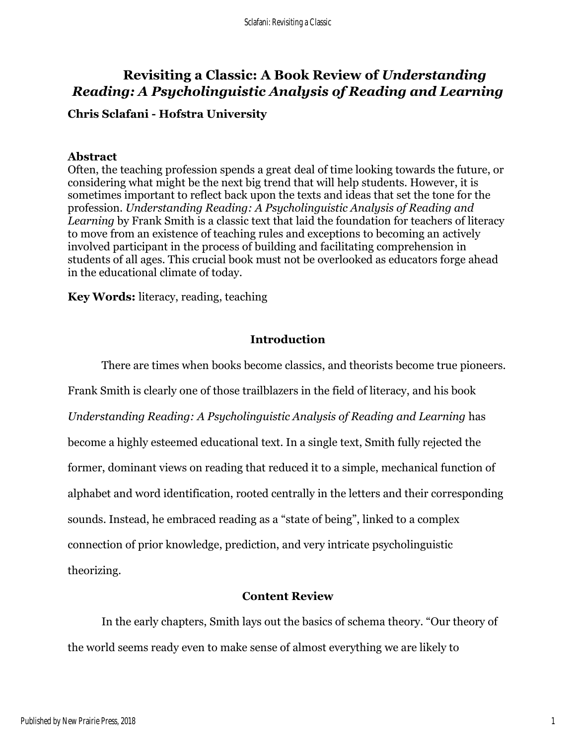## **Revisiting a Classic: A Book Review of** *Understanding Reading: A Psycholinguistic Analysis of Reading and Learning*

### **Chris Sclafani - Hofstra University**

### **Abstract**

Often, the teaching profession spends a great deal of time looking towards the future, or considering what might be the next big trend that will help students. However, it is sometimes important to reflect back upon the texts and ideas that set the tone for the profession. *Understanding Reading: A Psycholinguistic Analysis of Reading and Learning* by Frank Smith is a classic text that laid the foundation for teachers of literacy to move from an existence of teaching rules and exceptions to becoming an actively involved participant in the process of building and facilitating comprehension in students of all ages. This crucial book must not be overlooked as educators forge ahead in the educational climate of today.

**Key Words:** literacy, reading, teaching

### **Introduction**

There are times when books become classics, and theorists become true pioneers.

Frank Smith is clearly one of those trailblazers in the field of literacy, and his book *Understanding Reading: A Psycholinguistic Analysis of Reading and Learning* has become a highly esteemed educational text. In a single text, Smith fully rejected the former, dominant views on reading that reduced it to a simple, mechanical function of alphabet and word identification, rooted centrally in the letters and their corresponding sounds. Instead, he embraced reading as a "state of being", linked to a complex connection of prior knowledge, prediction, and very intricate psycholinguistic theorizing.

### **Content Review**

In the early chapters, Smith lays out the basics of schema theory. "Our theory of the world seems ready even to make sense of almost everything we are likely to

1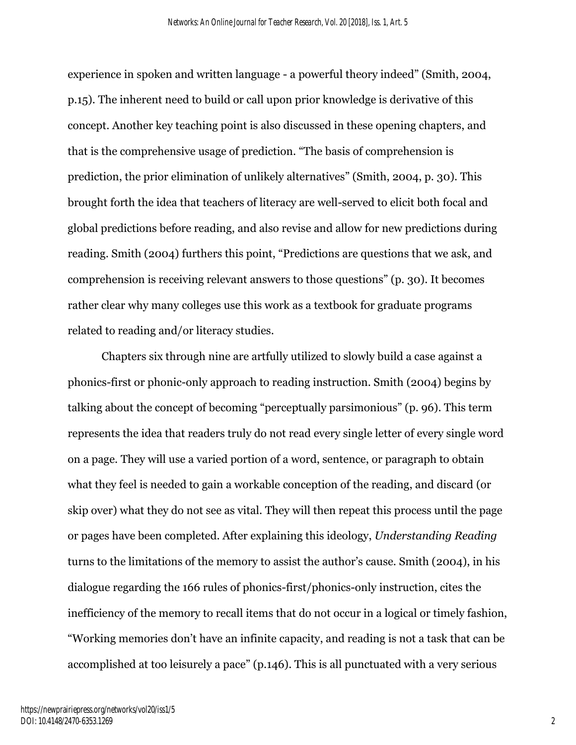experience in spoken and written language - a powerful theory indeed" (Smith, 2004, p.15). The inherent need to build or call upon prior knowledge is derivative of this concept. Another key teaching point is also discussed in these opening chapters, and that is the comprehensive usage of prediction. "The basis of comprehension is prediction, the prior elimination of unlikely alternatives" (Smith, 2004, p. 30). This brought forth the idea that teachers of literacy are well-served to elicit both focal and global predictions before reading, and also revise and allow for new predictions during reading. Smith (2004) furthers this point, "Predictions are questions that we ask, and comprehension is receiving relevant answers to those questions" (p. 30). It becomes rather clear why many colleges use this work as a textbook for graduate programs related to reading and/or literacy studies.

Chapters six through nine are artfully utilized to slowly build a case against a phonics-first or phonic-only approach to reading instruction. Smith (2004) begins by talking about the concept of becoming "perceptually parsimonious" (p. 96). This term represents the idea that readers truly do not read every single letter of every single word on a page. They will use a varied portion of a word, sentence, or paragraph to obtain what they feel is needed to gain a workable conception of the reading, and discard (or skip over) what they do not see as vital. They will then repeat this process until the page or pages have been completed. After explaining this ideology, *Understanding Reading*  turns to the limitations of the memory to assist the author's cause. Smith (2004), in his dialogue regarding the 166 rules of phonics-first/phonics-only instruction, cites the inefficiency of the memory to recall items that do not occur in a logical or timely fashion, "Working memories don't have an infinite capacity, and reading is not a task that can be accomplished at too leisurely a pace" (p.146). This is all punctuated with a very serious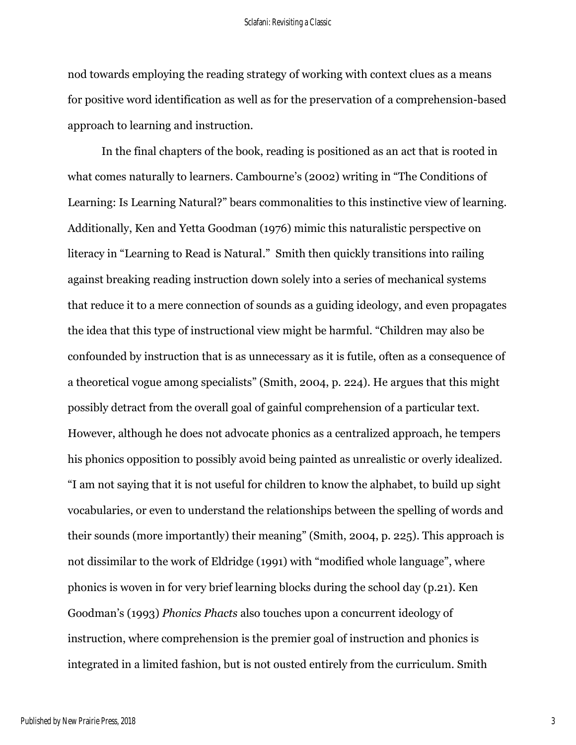#### Sclafani: Revisiting a Classic

nod towards employing the reading strategy of working with context clues as a means for positive word identification as well as for the preservation of a comprehension-based approach to learning and instruction.

In the final chapters of the book, reading is positioned as an act that is rooted in what comes naturally to learners. Cambourne's (2002) writing in "The Conditions of Learning: Is Learning Natural?" bears commonalities to this instinctive view of learning. Additionally, Ken and Yetta Goodman (1976) mimic this naturalistic perspective on literacy in "Learning to Read is Natural." Smith then quickly transitions into railing against breaking reading instruction down solely into a series of mechanical systems that reduce it to a mere connection of sounds as a guiding ideology, and even propagates the idea that this type of instructional view might be harmful. "Children may also be confounded by instruction that is as unnecessary as it is futile, often as a consequence of a theoretical vogue among specialists" (Smith, 2004, p. 224). He argues that this might possibly detract from the overall goal of gainful comprehension of a particular text. However, although he does not advocate phonics as a centralized approach, he tempers his phonics opposition to possibly avoid being painted as unrealistic or overly idealized. "I am not saying that it is not useful for children to know the alphabet, to build up sight vocabularies, or even to understand the relationships between the spelling of words and their sounds (more importantly) their meaning" (Smith, 2004, p. 225). This approach is not dissimilar to the work of Eldridge (1991) with "modified whole language", where phonics is woven in for very brief learning blocks during the school day (p.21). Ken Goodman's (1993) *Phonics Phacts* also touches upon a concurrent ideology of instruction, where comprehension is the premier goal of instruction and phonics is integrated in a limited fashion, but is not ousted entirely from the curriculum. Smith

3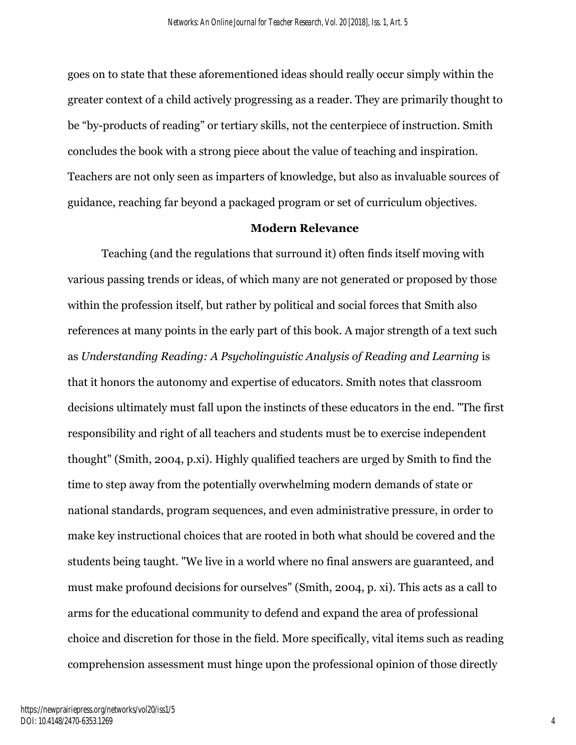goes on to state that these aforementioned ideas should really occur simply within the greater context of a child actively progressing as a reader. They are primarily thought to be "by-products of reading" or tertiary skills, not the centerpiece of instruction. Smith concludes the book with a strong piece about the value of teaching and inspiration. Teachers are not only seen as imparters of knowledge, but also as invaluable sources of guidance, reaching far beyond a packaged program or set of curriculum objectives.

#### **Modern Relevance**

Teaching (and the regulations that surround it) often finds itself moving with various passing trends or ideas, of which many are not generated or proposed by those within the profession itself, but rather by political and social forces that Smith also references at many points in the early part of this book. A major strength of a text such as *Understanding Reading: A Psycholinguistic Analysis of Reading and Learning* is that it honors the autonomy and expertise of educators. Smith notes that classroom decisions ultimately must fall upon the instincts of these educators in the end. "The first responsibility and right of all teachers and students must be to exercise independent thought" (Smith, 2004, p.xi). Highly qualified teachers are urged by Smith to find the time to step away from the potentially overwhelming modern demands of state or national standards, program sequences, and even administrative pressure, in order to make key instructional choices that are rooted in both what should be covered and the students being taught. "We live in a world where no final answers are guaranteed, and must make profound decisions for ourselves" (Smith, 2004, p. xi). This acts as a call to arms for the educational community to defend and expand the area of professional choice and discretion for those in the field. More specifically, vital items such as reading comprehension assessment must hinge upon the professional opinion of those directly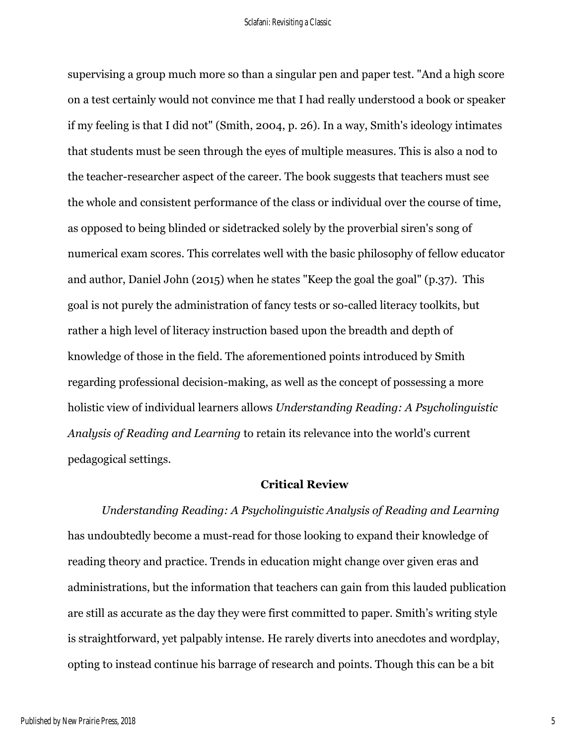supervising a group much more so than a singular pen and paper test. "And a high score on a test certainly would not convince me that I had really understood a book or speaker if my feeling is that I did not" (Smith, 2004, p. 26). In a way, Smith's ideology intimates that students must be seen through the eyes of multiple measures. This is also a nod to the teacher-researcher aspect of the career. The book suggests that teachers must see the whole and consistent performance of the class or individual over the course of time, as opposed to being blinded or sidetracked solely by the proverbial siren's song of numerical exam scores. This correlates well with the basic philosophy of fellow educator and author, Daniel John (2015) when he states "Keep the goal the goal" (p.37). This goal is not purely the administration of fancy tests or so-called literacy toolkits, but rather a high level of literacy instruction based upon the breadth and depth of knowledge of those in the field. The aforementioned points introduced by Smith regarding professional decision-making, as well as the concept of possessing a more holistic view of individual learners allows *Understanding Reading: A Psycholinguistic Analysis of Reading and Learning* to retain its relevance into the world's current pedagogical settings.

#### **Critical Review**

*Understanding Reading: A Psycholinguistic Analysis of Reading and Learning*  has undoubtedly become a must-read for those looking to expand their knowledge of reading theory and practice. Trends in education might change over given eras and administrations, but the information that teachers can gain from this lauded publication are still as accurate as the day they were first committed to paper. Smith's writing style is straightforward, yet palpably intense. He rarely diverts into anecdotes and wordplay, opting to instead continue his barrage of research and points. Though this can be a bit

5